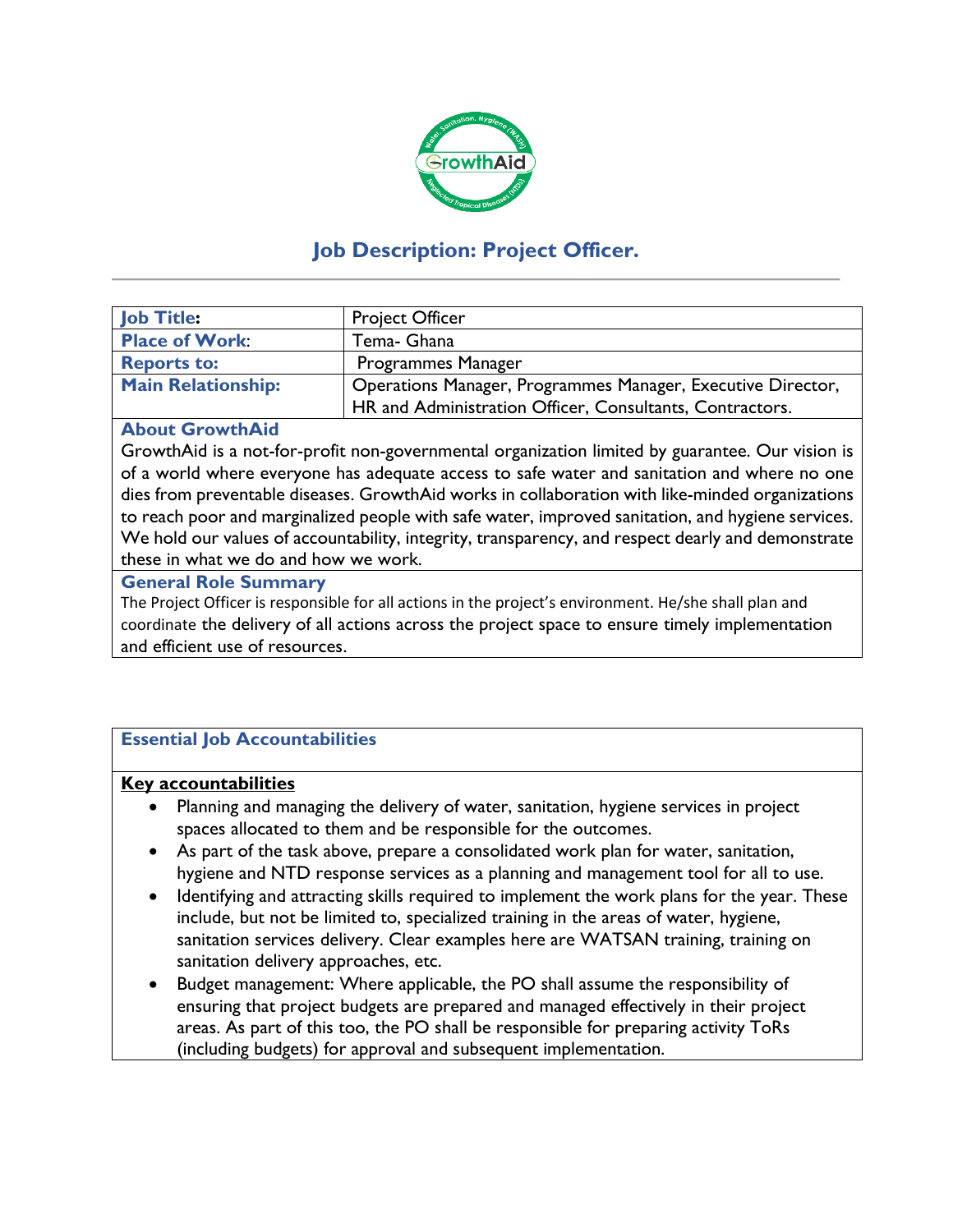

# **Job Description: Project Officer.**

| <b>Job Title:</b>         | <b>Project Officer</b>                                      |
|---------------------------|-------------------------------------------------------------|
| <b>Place of Work:</b>     | Tema- Ghana                                                 |
| <b>Reports to:</b>        | Programmes Manager                                          |
| <b>Main Relationship:</b> | Operations Manager, Programmes Manager, Executive Director, |
|                           | HR and Administration Officer, Consultants, Contractors.    |

#### **About GrowthAid**

GrowthAid is a not-for-profit non-governmental organization limited by guarantee. Our vision is of a world where everyone has adequate access to safe water and sanitation and where no one dies from preventable diseases. GrowthAid works in collaboration with like-minded organizations to reach poor and marginalized people with safe water, improved sanitation, and hygiene services. We hold our values of accountability, integrity, transparency, and respect dearly and demonstrate these in what we do and how we work.

#### **General Role Summary**

The Project Officer is responsible for all actions in the project's environment. He/she shall plan and coordinate the delivery of all actions across the project space to ensure timely implementation and efficient use of resources.

## **Essential Job Accountabilities**

#### **Key accountabilities**

- Planning and managing the delivery of water, sanitation, hygiene services in project spaces allocated to them and be responsible for the outcomes.
- As part of the task above, prepare a consolidated work plan for water, sanitation, hygiene and NTD response services as a planning and management tool for all to use.
- Identifying and attracting skills required to implement the work plans for the year. These include, but not be limited to, specialized training in the areas of water, hygiene, sanitation services delivery. Clear examples here are WATSAN training, training on sanitation delivery approaches, etc.
- Budget management: Where applicable, the PO shall assume the responsibility of ensuring that project budgets are prepared and managed effectively in their project areas. As part of this too, the PO shall be responsible for preparing activity ToRs (including budgets) for approval and subsequent implementation.